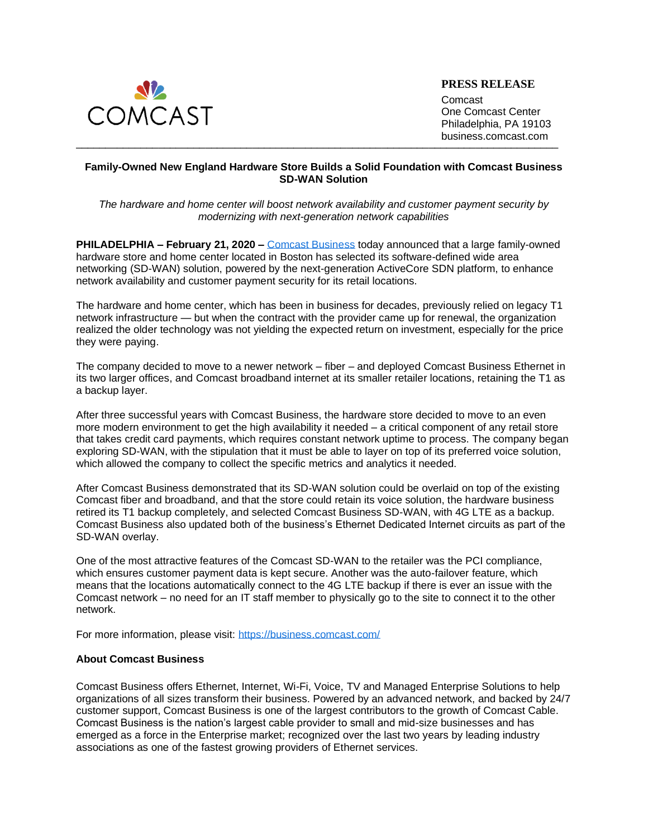

**PRESS RELEASE**

 $\blacksquare$ Comcast One Comcast Center Philadelphia, PA 19103 business.comcast.com

## **Family-Owned New England Hardware Store Builds a Solid Foundation with Comcast Business SD-WAN Solution**

*The hardware and home center will boost network availability and customer payment security by modernizing with next-generation network capabilities* 

**PHILADELPHIA – February 21, 2020 –** [Comcast Business](https://business.comcast.com/) today announced that a large family-owned hardware store and home center located in Boston has selected its software-defined wide area networking (SD-WAN) solution, powered by the next-generation ActiveCore SDN platform, to enhance network availability and customer payment security for its retail locations.

The hardware and home center, which has been in business for decades, previously relied on legacy T1 network infrastructure — but when the contract with the provider came up for renewal, the organization realized the older technology was not yielding the expected return on investment, especially for the price they were paying.

The company decided to move to a newer network – fiber – and deployed Comcast Business Ethernet in its two larger offices, and Comcast broadband internet at its smaller retailer locations, retaining the T1 as a backup layer.

After three successful years with Comcast Business, the hardware store decided to move to an even more modern environment to get the high availability it needed – a critical component of any retail store that takes credit card payments, which requires constant network uptime to process. The company began exploring SD-WAN, with the stipulation that it must be able to layer on top of its preferred voice solution, which allowed the company to collect the specific metrics and analytics it needed.

After Comcast Business demonstrated that its SD-WAN solution could be overlaid on top of the existing Comcast fiber and broadband, and that the store could retain its voice solution, the hardware business retired its T1 backup completely, and selected Comcast Business SD-WAN, with 4G LTE as a backup. Comcast Business also updated both of the business's Ethernet Dedicated Internet circuits as part of the SD-WAN overlay.

One of the most attractive features of the Comcast SD-WAN to the retailer was the PCI compliance, which ensures customer payment data is kept secure. Another was the auto-failover feature, which means that the locations automatically connect to the 4G LTE backup if there is ever an issue with the Comcast network – no need for an IT staff member to physically go to the site to connect it to the other network.

For more information, please visit:<https://business.comcast.com/>

## **About Comcast Business**

Comcast Business offers Ethernet, Internet, Wi-Fi, Voice, TV and Managed Enterprise Solutions to help organizations of all sizes transform their business. Powered by an advanced network, and backed by 24/7 customer support, Comcast Business is one of the largest contributors to the growth of Comcast Cable. Comcast Business is the nation's largest cable provider to small and mid-size businesses and has emerged as a force in the Enterprise market; recognized over the last two years by leading industry associations as one of the fastest growing providers of Ethernet services.